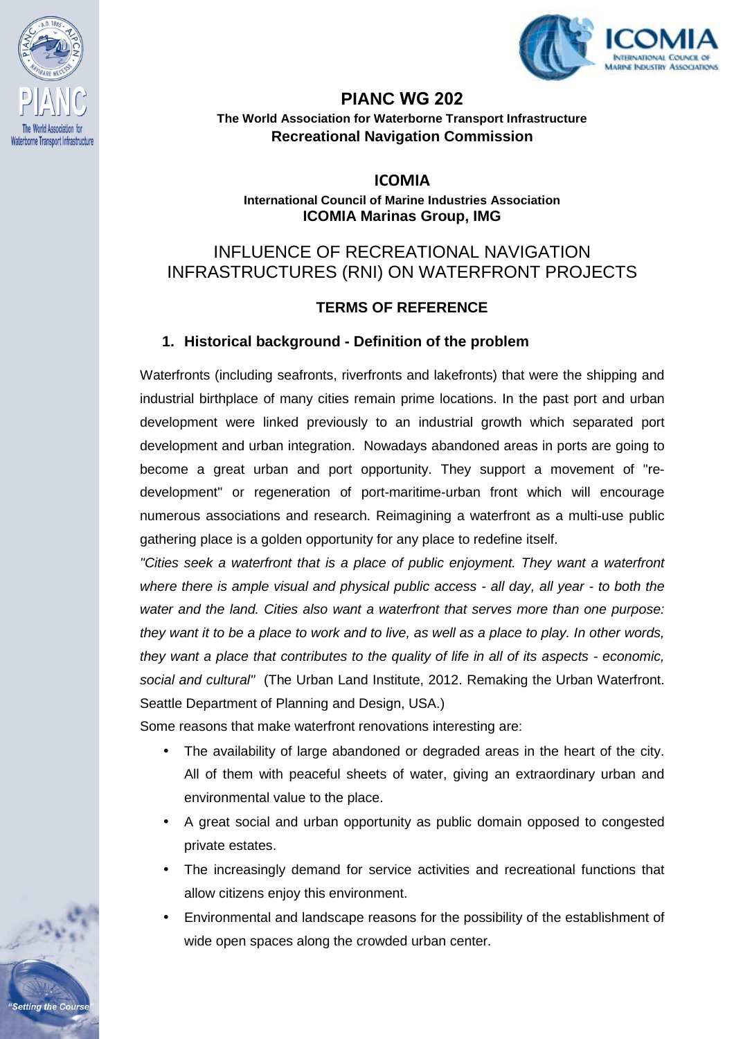



# **PIANC WG 202**

**The World Association for Waterborne Transport Infrastructure Recreational Navigation Commission** 

**ICOMIA** 

**International Council of Marine Industries Association ICOMIA Marinas Group, IMG** 

## INFLUENCE OF RECREATIONAL NAVIGATION INFRASTRUCTURES (RNI) ON WATERFRONT PROJECTS

#### **TERMS OF REFERENCE**

#### **1. Historical background - Definition of the problem**

Waterfronts (including seafronts, riverfronts and lakefronts) that were the shipping and industrial birthplace of many cities remain prime locations. In the past port and urban development were linked previously to an industrial growth which separated port development and urban integration. Nowadays abandoned areas in ports are going to become a great urban and port opportunity. They support a movement of "redevelopment" or regeneration of port-maritime-urban front which will encourage numerous associations and research. Reimagining a waterfront as a multi-use public gathering place is a golden opportunity for any place to redefine itself.

"Cities seek a waterfront that is a place of public enjoyment. They want a waterfront where there is ample visual and physical public access - all day, all year - to both the water and the land. Cities also want a waterfront that serves more than one purpose: they want it to be a place to work and to live, as well as a place to play. In other words, they want a place that contributes to the quality of life in all of its aspects - economic, social and cultural" (The Urban Land Institute, 2012. Remaking the Urban Waterfront. Seattle Department of Planning and Design, USA.)

Some reasons that make waterfront renovations interesting are:

- The availability of large abandoned or degraded areas in the heart of the city. All of them with peaceful sheets of water, giving an extraordinary urban and environmental value to the place.
- A great social and urban opportunity as public domain opposed to congested private estates.
- The increasingly demand for service activities and recreational functions that allow citizens enjoy this environment.
- Environmental and landscape reasons for the possibility of the establishment of wide open spaces along the crowded urban center.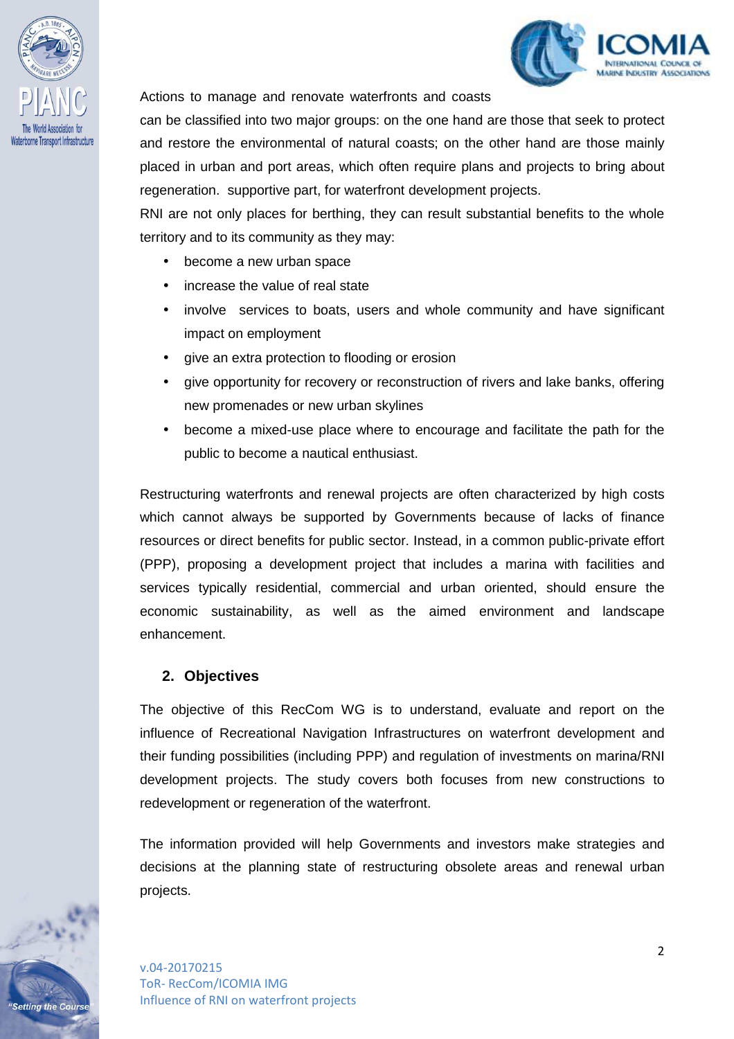

etting the Cours



Actions to manage and renovate waterfronts and coasts

can be classified into two major groups: on the one hand are those that seek to protect and restore the environmental of natural coasts; on the other hand are those mainly placed in urban and port areas, which often require plans and projects to bring about regeneration. supportive part, for waterfront development projects.

RNI are not only places for berthing, they can result substantial benefits to the whole territory and to its community as they may:

- become a new urban space
- increase the value of real state
- involve services to boats, users and whole community and have significant impact on employment
- give an extra protection to flooding or erosion
- give opportunity for recovery or reconstruction of rivers and lake banks, offering new promenades or new urban skylines
- become a mixed-use place where to encourage and facilitate the path for the public to become a nautical enthusiast.

Restructuring waterfronts and renewal projects are often characterized by high costs which cannot always be supported by Governments because of lacks of finance resources or direct benefits for public sector. Instead, in a common public-private effort (PPP), proposing a development project that includes a marina with facilities and services typically residential, commercial and urban oriented, should ensure the economic sustainability, as well as the aimed environment and landscape enhancement.

#### **2. Objectives**

The objective of this RecCom WG is to understand, evaluate and report on the influence of Recreational Navigation Infrastructures on waterfront development and their funding possibilities (including PPP) and regulation of investments on marina/RNI development projects. The study covers both focuses from new constructions to redevelopment or regeneration of the waterfront.

The information provided will help Governments and investors make strategies and decisions at the planning state of restructuring obsolete areas and renewal urban projects.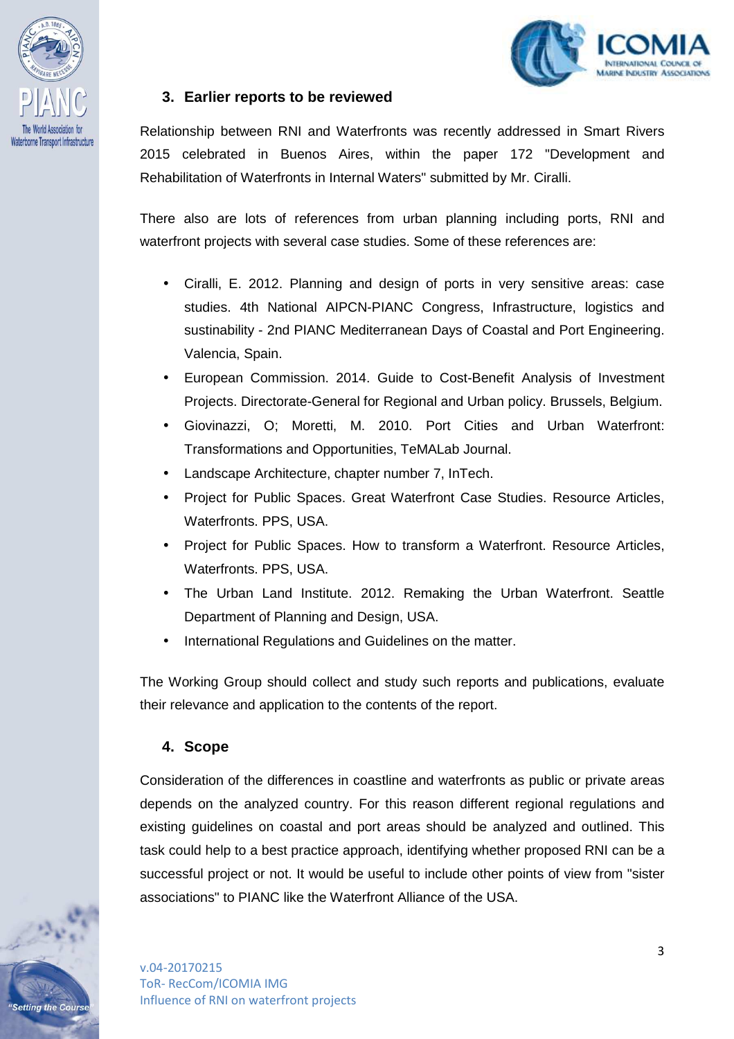

ng the Cours



### **3. Earlier reports to be reviewed**

Relationship between RNI and Waterfronts was recently addressed in Smart Rivers 2015 celebrated in Buenos Aires, within the paper 172 "Development and Rehabilitation of Waterfronts in Internal Waters" submitted by Mr. Ciralli.

There also are lots of references from urban planning including ports, RNI and waterfront projects with several case studies. Some of these references are:

- Ciralli, E. 2012. Planning and design of ports in very sensitive areas: case studies. 4th National AIPCN-PIANC Congress, Infrastructure, logistics and sustinability - 2nd PIANC Mediterranean Days of Coastal and Port Engineering. Valencia, Spain.
- European Commission. 2014. Guide to Cost-Benefit Analysis of Investment Projects. Directorate-General for Regional and Urban policy. Brussels, Belgium.
- Giovinazzi, O; Moretti, M. 2010. Port Cities and Urban Waterfront: Transformations and Opportunities, TeMALab Journal.
- Landscape Architecture, chapter number 7, InTech.
- Project for Public Spaces. Great Waterfront Case Studies. Resource Articles, Waterfronts. PPS, USA.
- Project for Public Spaces. How to transform a Waterfront. Resource Articles, Waterfronts. PPS, USA.
- The Urban Land Institute. 2012. Remaking the Urban Waterfront. Seattle Department of Planning and Design, USA.
- International Regulations and Guidelines on the matter.

The Working Group should collect and study such reports and publications, evaluate their relevance and application to the contents of the report.

#### **4. Scope**

Consideration of the differences in coastline and waterfronts as public or private areas depends on the analyzed country. For this reason different regional regulations and existing guidelines on coastal and port areas should be analyzed and outlined. This task could help to a best practice approach, identifying whether proposed RNI can be a successful project or not. It would be useful to include other points of view from "sister associations" to PIANC like the Waterfront Alliance of the USA.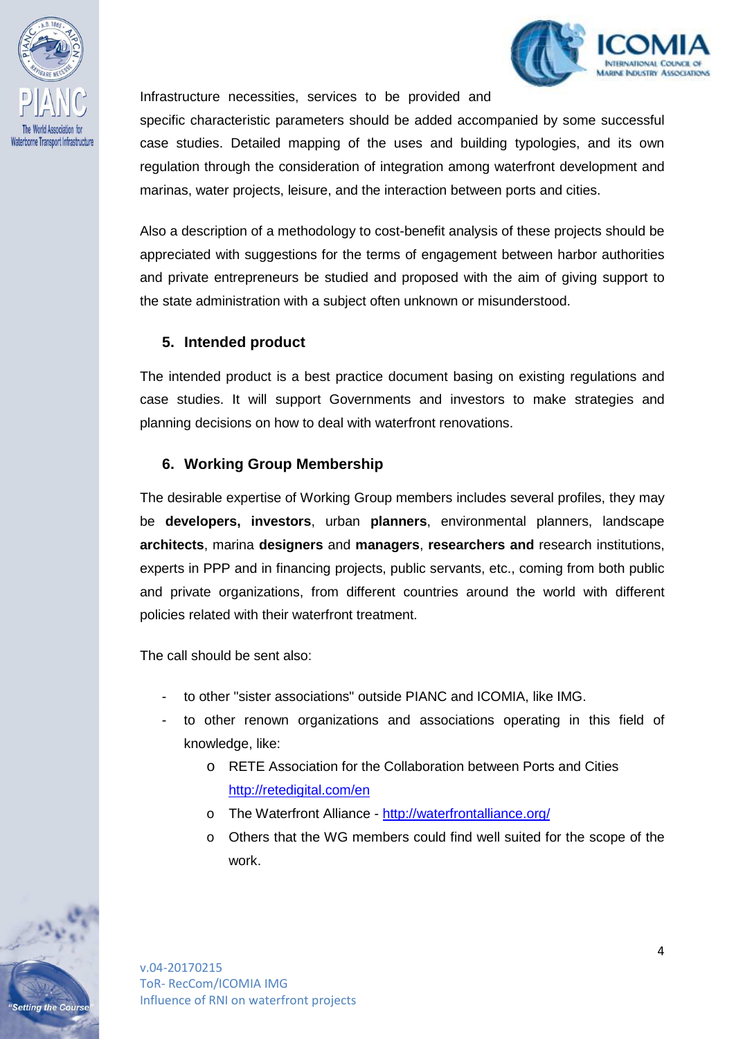

ng the Cours



Infrastructure necessities, services to be provided and

specific characteristic parameters should be added accompanied by some successful case studies. Detailed mapping of the uses and building typologies, and its own regulation through the consideration of integration among waterfront development and marinas, water projects, leisure, and the interaction between ports and cities.

Also a description of a methodology to cost-benefit analysis of these projects should be appreciated with suggestions for the terms of engagement between harbor authorities and private entrepreneurs be studied and proposed with the aim of giving support to the state administration with a subject often unknown or misunderstood.

#### **5. Intended product**

The intended product is a best practice document basing on existing regulations and case studies. It will support Governments and investors to make strategies and planning decisions on how to deal with waterfront renovations.

#### **6. Working Group Membership**

The desirable expertise of Working Group members includes several profiles, they may be **developers, investors**, urban **planners**, environmental planners, landscape **architects**, marina **designers** and **managers**, **researchers and** research institutions, experts in PPP and in financing projects, public servants, etc., coming from both public and private organizations, from different countries around the world with different policies related with their waterfront treatment.

The call should be sent also:

- to other "sister associations" outside PIANC and ICOMIA, like IMG.
- to other renown organizations and associations operating in this field of knowledge, like:
	- o RETE Association for the Collaboration between Ports and Cities http://retedigital.com/en
	- o The Waterfront Alliance http://waterfrontalliance.org/
	- o Others that the WG members could find well suited for the scope of the work.